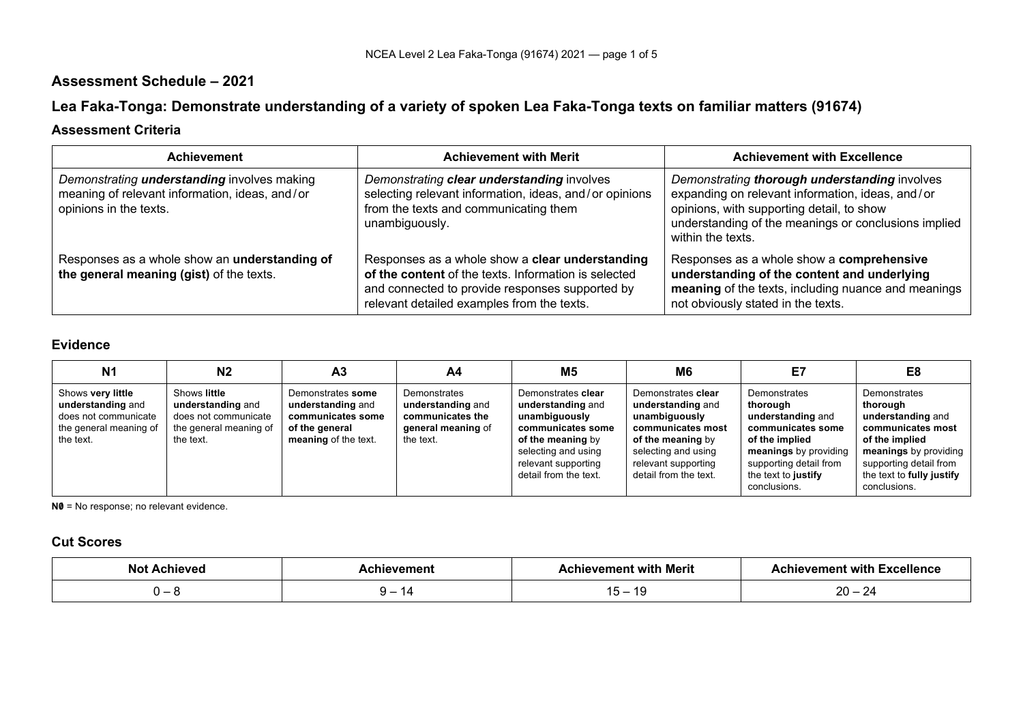## **Assessment Schedule – 2021**

# **Lea Faka-Tonga: Demonstrate understanding of a variety of spoken Lea Faka-Tonga texts on familiar matters (91674)**

### **Assessment Criteria**

| <b>Achievement</b>                                                                                                             | <b>Achievement with Merit</b>                                                                                                                                                                            | <b>Achievement with Excellence</b>                                                                                                                                                                                          |
|--------------------------------------------------------------------------------------------------------------------------------|----------------------------------------------------------------------------------------------------------------------------------------------------------------------------------------------------------|-----------------------------------------------------------------------------------------------------------------------------------------------------------------------------------------------------------------------------|
| Demonstrating <i>understanding</i> involves making<br>meaning of relevant information, ideas, and/or<br>opinions in the texts. | Demonstrating clear understanding involves<br>selecting relevant information, ideas, and/or opinions<br>from the texts and communicating them<br>unambiguously.                                          | Demonstrating thorough understanding involves<br>expanding on relevant information, ideas, and/or<br>opinions, with supporting detail, to show<br>understanding of the meanings or conclusions implied<br>within the texts. |
| Responses as a whole show an understanding of<br>the general meaning (gist) of the texts.                                      | Responses as a whole show a clear understanding<br>of the content of the texts. Information is selected<br>and connected to provide responses supported by<br>relevant detailed examples from the texts. | Responses as a whole show a comprehensive<br>understanding of the content and underlying<br>meaning of the texts, including nuance and meanings<br>not obviously stated in the texts.                                       |

### **Evidence**

| N <sub>1</sub>                                                                                        | N2                                                                                               | A <sub>3</sub>                                                                                        | A4                                                                                       | M5                                                                                                                                                                        | M6                                                                                                                                                                        | E7                                                                                                                                                                             | E8                                                                                                                                                                                   |
|-------------------------------------------------------------------------------------------------------|--------------------------------------------------------------------------------------------------|-------------------------------------------------------------------------------------------------------|------------------------------------------------------------------------------------------|---------------------------------------------------------------------------------------------------------------------------------------------------------------------------|---------------------------------------------------------------------------------------------------------------------------------------------------------------------------|--------------------------------------------------------------------------------------------------------------------------------------------------------------------------------|--------------------------------------------------------------------------------------------------------------------------------------------------------------------------------------|
| Shows very little<br>understanding and<br>does not communicate<br>the general meaning of<br>the text. | Shows little<br>understanding and<br>does not communicate<br>the general meaning of<br>the text. | Demonstrates some<br>understanding and<br>communicates some<br>of the general<br>meaning of the text. | Demonstrates<br>understanding and<br>communicates the<br>general meaning of<br>the text. | Demonstrates clear<br>understanding and<br>unambiguously<br>communicates some<br>of the meaning by<br>selecting and using<br>relevant supporting<br>detail from the text. | Demonstrates clear<br>understanding and<br>unambiguously<br>communicates most<br>of the meaning by<br>selecting and using<br>relevant supporting<br>detail from the text. | Demonstrates<br>thorough<br>understanding and<br>communicates some<br>of the implied<br>meanings by providing<br>supporting detail from<br>the text to justify<br>conclusions. | Demonstrates<br>thorough<br>understanding and<br>communicates most<br>of the implied<br>meanings by providing<br>supporting detail from<br>the text to fully justify<br>conclusions. |

**N0** = No response; no relevant evidence.

### **Cut Scores**

| ، م رده<br>$\sim$ | hievement                                  | hievement with Merit         | .<br>ı Excellence<br><b>∆chievement with ™</b> |
|-------------------|--------------------------------------------|------------------------------|------------------------------------------------|
|                   | $\overline{ }$<br>$\overline{\phantom{0}}$ | $\overline{ }$<br>. .<br>. . | $\cap$<br>∠∪<br><u>_</u>                       |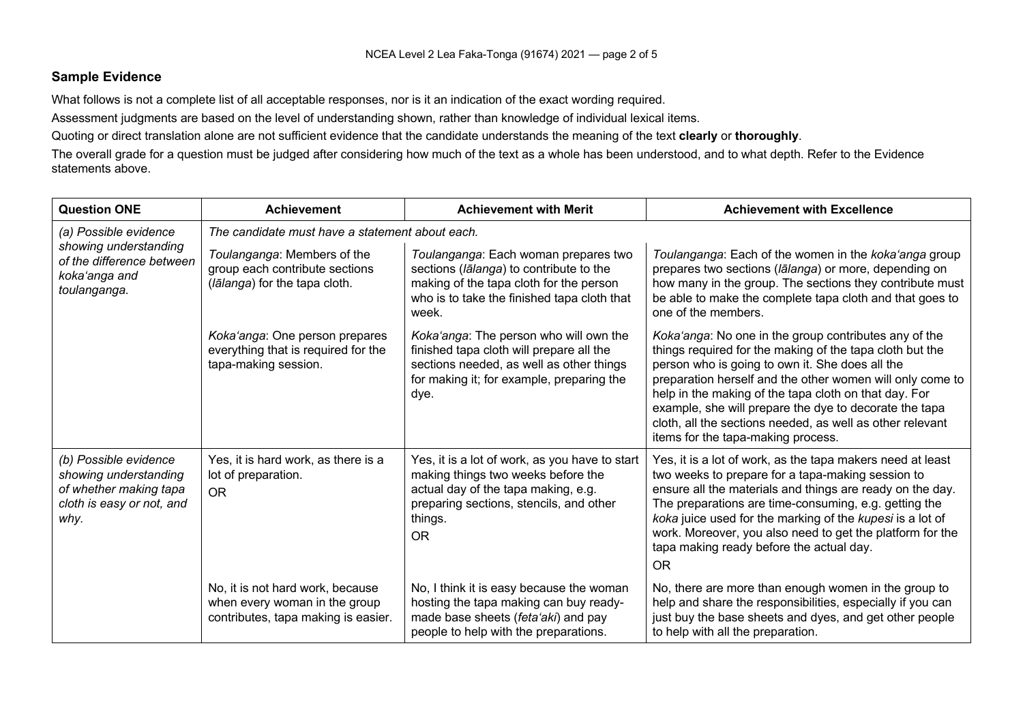#### **Sample Evidence**

What follows is not a complete list of all acceptable responses, nor is it an indication of the exact wording required.

Assessment judgments are based on the level of understanding shown, rather than knowledge of individual lexical items.

Quoting or direct translation alone are not sufficient evidence that the candidate understands the meaning of the text **clearly** or **thoroughly**.

The overall grade for a question must be judged after considering how much of the text as a whole has been understood, and to what depth. Refer to the Evidence statements above.

| <b>Question ONE</b>                                                                                           | <b>Achievement</b>                                                                                       | <b>Achievement with Merit</b>                                                                                                                                                                  | <b>Achievement with Excellence</b>                                                                                                                                                                                                                                                                                                                                                                                                                      |  |  |
|---------------------------------------------------------------------------------------------------------------|----------------------------------------------------------------------------------------------------------|------------------------------------------------------------------------------------------------------------------------------------------------------------------------------------------------|---------------------------------------------------------------------------------------------------------------------------------------------------------------------------------------------------------------------------------------------------------------------------------------------------------------------------------------------------------------------------------------------------------------------------------------------------------|--|--|
| (a) Possible evidence                                                                                         | The candidate must have a statement about each.                                                          |                                                                                                                                                                                                |                                                                                                                                                                                                                                                                                                                                                                                                                                                         |  |  |
| showing understanding<br>of the difference between<br>koka'anga and<br>toulanganga.                           | Toulanganga: Members of the<br>group each contribute sections<br>(lālanga) for the tapa cloth.           | Toulanganga: Each woman prepares two<br>sections (lalanga) to contribute to the<br>making of the tapa cloth for the person<br>who is to take the finished tapa cloth that<br>week.             | Toulanganga: Each of the women in the koka'anga group<br>prepares two sections (lalanga) or more, depending on<br>how many in the group. The sections they contribute must<br>be able to make the complete tapa cloth and that goes to<br>one of the members.                                                                                                                                                                                           |  |  |
|                                                                                                               | Koka'anga: One person prepares<br>everything that is required for the<br>tapa-making session.            | Koka'anga: The person who will own the<br>finished tapa cloth will prepare all the<br>sections needed, as well as other things<br>for making it; for example, preparing the<br>dye.            | Koka'anga: No one in the group contributes any of the<br>things required for the making of the tapa cloth but the<br>person who is going to own it. She does all the<br>preparation herself and the other women will only come to<br>help in the making of the tapa cloth on that day. For<br>example, she will prepare the dye to decorate the tapa<br>cloth, all the sections needed, as well as other relevant<br>items for the tapa-making process. |  |  |
| (b) Possible evidence<br>showing understanding<br>of whether making tapa<br>cloth is easy or not, and<br>why. | Yes, it is hard work, as there is a<br>lot of preparation.<br><b>OR</b>                                  | Yes, it is a lot of work, as you have to start<br>making things two weeks before the<br>actual day of the tapa making, e.g.<br>preparing sections, stencils, and other<br>things.<br><b>OR</b> | Yes, it is a lot of work, as the tapa makers need at least<br>two weeks to prepare for a tapa-making session to<br>ensure all the materials and things are ready on the day.<br>The preparations are time-consuming, e.g. getting the<br>koka juice used for the marking of the kupesi is a lot of<br>work. Moreover, you also need to get the platform for the<br>tapa making ready before the actual day.<br><b>OR</b>                                |  |  |
|                                                                                                               | No, it is not hard work, because<br>when every woman in the group<br>contributes, tapa making is easier. | No, I think it is easy because the woman<br>hosting the tapa making can buy ready-<br>made base sheets (feta'aki) and pay<br>people to help with the preparations.                             | No, there are more than enough women in the group to<br>help and share the responsibilities, especially if you can<br>just buy the base sheets and dyes, and get other people<br>to help with all the preparation.                                                                                                                                                                                                                                      |  |  |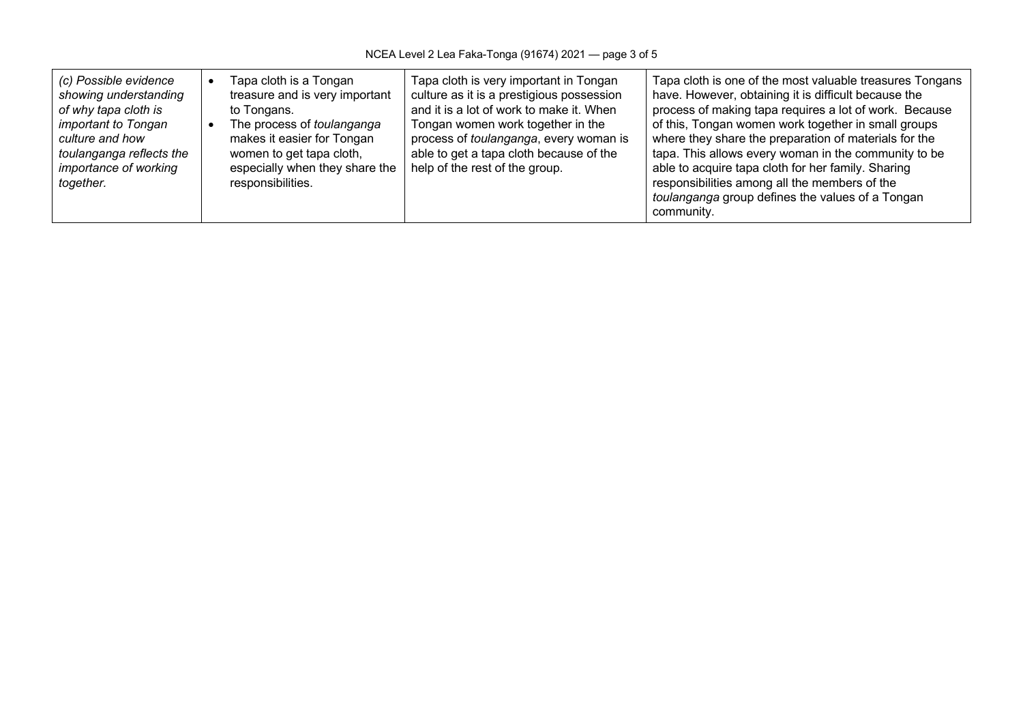| (c) Possible evidence<br>showing understanding<br>of why tapa cloth is<br><i>important to Tongan</i><br>culture and how<br>toulanganga reflects the<br><i>importance of working</i><br>together. |  | Tapa cloth is a Tongan<br>treasure and is very important<br>to Tongans.<br>The process of toulanganga<br>makes it easier for Tongan<br>women to get tapa cloth,<br>especially when they share the<br>responsibilities. | Tapa cloth is very important in Tongan<br>culture as it is a prestigious possession<br>and it is a lot of work to make it. When<br>Tongan women work together in the<br>process of toulanganga, every woman is<br>able to get a tapa cloth because of the<br>help of the rest of the group. | Tapa cloth is one of the most valuable treasures Tongans<br>have. However, obtaining it is difficult because the<br>process of making tapa requires a lot of work. Because<br>of this, Tongan women work together in small groups<br>where they share the preparation of materials for the<br>tapa. This allows every woman in the community to be<br>able to acquire tapa cloth for her family. Sharing<br>responsibilities among all the members of the<br>toulanganga group defines the values of a Tongan<br>community. |
|--------------------------------------------------------------------------------------------------------------------------------------------------------------------------------------------------|--|------------------------------------------------------------------------------------------------------------------------------------------------------------------------------------------------------------------------|---------------------------------------------------------------------------------------------------------------------------------------------------------------------------------------------------------------------------------------------------------------------------------------------|-----------------------------------------------------------------------------------------------------------------------------------------------------------------------------------------------------------------------------------------------------------------------------------------------------------------------------------------------------------------------------------------------------------------------------------------------------------------------------------------------------------------------------|
|--------------------------------------------------------------------------------------------------------------------------------------------------------------------------------------------------|--|------------------------------------------------------------------------------------------------------------------------------------------------------------------------------------------------------------------------|---------------------------------------------------------------------------------------------------------------------------------------------------------------------------------------------------------------------------------------------------------------------------------------------|-----------------------------------------------------------------------------------------------------------------------------------------------------------------------------------------------------------------------------------------------------------------------------------------------------------------------------------------------------------------------------------------------------------------------------------------------------------------------------------------------------------------------------|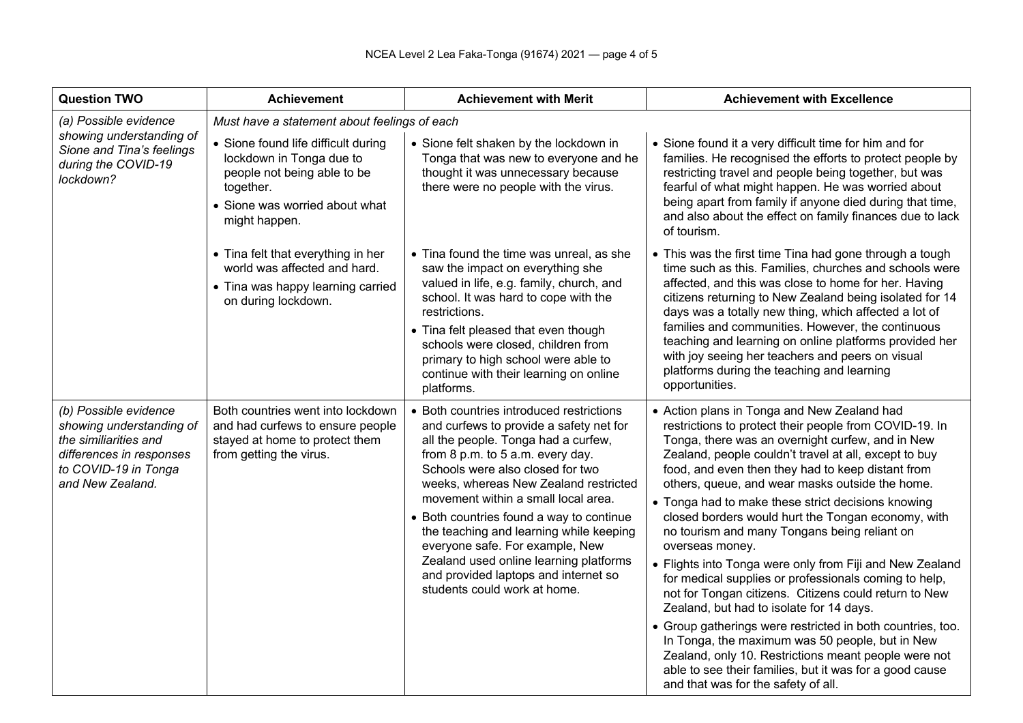| <b>Question TWO</b>                                                                                                                                | <b>Achievement</b>                                                                                                                                             | <b>Achievement with Merit</b>                                                                                                                                                                                                                                                                                                                                                                                                                                                                                                  | <b>Achievement with Excellence</b>                                                                                                                                                                                                                                                                                                                                                                                                                                                                                                                                                                                                                                                                                                                                                                                                                                                                                                                                                                             |  |  |  |
|----------------------------------------------------------------------------------------------------------------------------------------------------|----------------------------------------------------------------------------------------------------------------------------------------------------------------|--------------------------------------------------------------------------------------------------------------------------------------------------------------------------------------------------------------------------------------------------------------------------------------------------------------------------------------------------------------------------------------------------------------------------------------------------------------------------------------------------------------------------------|----------------------------------------------------------------------------------------------------------------------------------------------------------------------------------------------------------------------------------------------------------------------------------------------------------------------------------------------------------------------------------------------------------------------------------------------------------------------------------------------------------------------------------------------------------------------------------------------------------------------------------------------------------------------------------------------------------------------------------------------------------------------------------------------------------------------------------------------------------------------------------------------------------------------------------------------------------------------------------------------------------------|--|--|--|
| (a) Possible evidence<br>showing understanding of<br>Sione and Tina's feelings<br>during the COVID-19<br>lockdown?                                 | Must have a statement about feelings of each                                                                                                                   |                                                                                                                                                                                                                                                                                                                                                                                                                                                                                                                                |                                                                                                                                                                                                                                                                                                                                                                                                                                                                                                                                                                                                                                                                                                                                                                                                                                                                                                                                                                                                                |  |  |  |
|                                                                                                                                                    | • Sione found life difficult during<br>lockdown in Tonga due to<br>people not being able to be<br>together.<br>• Sione was worried about what<br>might happen. | • Sione felt shaken by the lockdown in<br>Tonga that was new to everyone and he<br>thought it was unnecessary because<br>there were no people with the virus.                                                                                                                                                                                                                                                                                                                                                                  | • Sione found it a very difficult time for him and for<br>families. He recognised the efforts to protect people by<br>restricting travel and people being together, but was<br>fearful of what might happen. He was worried about<br>being apart from family if anyone died during that time,<br>and also about the effect on family finances due to lack<br>of tourism.                                                                                                                                                                                                                                                                                                                                                                                                                                                                                                                                                                                                                                       |  |  |  |
|                                                                                                                                                    | • Tina felt that everything in her<br>world was affected and hard.<br>• Tina was happy learning carried<br>on during lockdown.                                 | • Tina found the time was unreal, as she<br>saw the impact on everything she<br>valued in life, e.g. family, church, and<br>school. It was hard to cope with the<br>restrictions.<br>• Tina felt pleased that even though<br>schools were closed, children from<br>primary to high school were able to<br>continue with their learning on online<br>platforms.                                                                                                                                                                 | • This was the first time Tina had gone through a tough<br>time such as this. Families, churches and schools were<br>affected, and this was close to home for her. Having<br>citizens returning to New Zealand being isolated for 14<br>days was a totally new thing, which affected a lot of<br>families and communities. However, the continuous<br>teaching and learning on online platforms provided her<br>with joy seeing her teachers and peers on visual<br>platforms during the teaching and learning<br>opportunities.                                                                                                                                                                                                                                                                                                                                                                                                                                                                               |  |  |  |
| (b) Possible evidence<br>showing understanding of<br>the similiarities and<br>differences in responses<br>to COVID-19 in Tonga<br>and New Zealand. | Both countries went into lockdown<br>and had curfews to ensure people<br>stayed at home to protect them<br>from getting the virus.                             | • Both countries introduced restrictions<br>and curfews to provide a safety net for<br>all the people. Tonga had a curfew,<br>from 8 p.m. to 5 a.m. every day.<br>Schools were also closed for two<br>weeks, whereas New Zealand restricted<br>movement within a small local area.<br>• Both countries found a way to continue<br>the teaching and learning while keeping<br>everyone safe. For example, New<br>Zealand used online learning platforms<br>and provided laptops and internet so<br>students could work at home. | • Action plans in Tonga and New Zealand had<br>restrictions to protect their people from COVID-19. In<br>Tonga, there was an overnight curfew, and in New<br>Zealand, people couldn't travel at all, except to buy<br>food, and even then they had to keep distant from<br>others, queue, and wear masks outside the home.<br>• Tonga had to make these strict decisions knowing<br>closed borders would hurt the Tongan economy, with<br>no tourism and many Tongans being reliant on<br>overseas money.<br>• Flights into Tonga were only from Fiji and New Zealand<br>for medical supplies or professionals coming to help,<br>not for Tongan citizens. Citizens could return to New<br>Zealand, but had to isolate for 14 days.<br>• Group gatherings were restricted in both countries, too.<br>In Tonga, the maximum was 50 people, but in New<br>Zealand, only 10. Restrictions meant people were not<br>able to see their families, but it was for a good cause<br>and that was for the safety of all. |  |  |  |